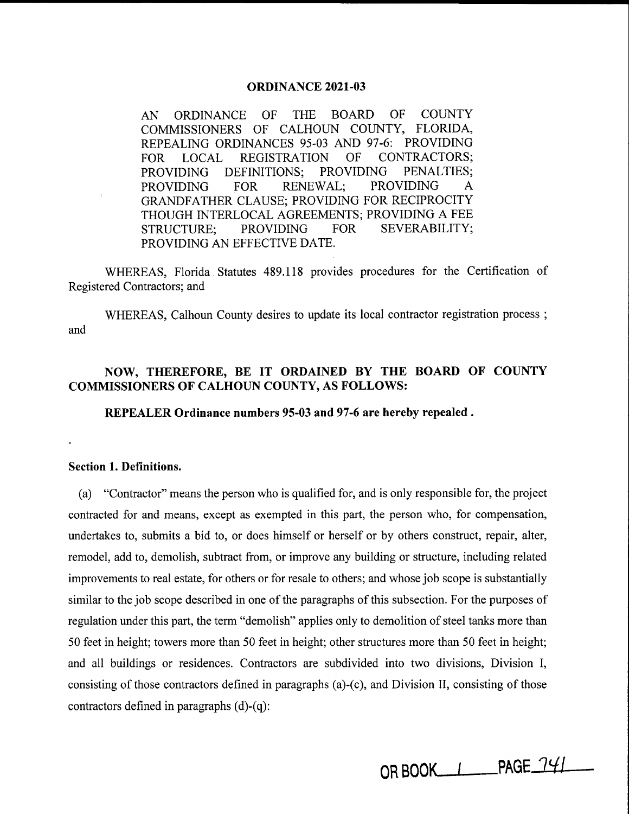### **ORDINANCE 2021-03**

AN ORDINANCE OF THE BOARD OF COUNTY COMMISSIONERS OF CALHOUN COUNTY, FLORIDA, REPEALING ORDINANCES 95-03 AND 97-6: PROVIDING FOR LOCAL REGISTRATION OF CONTRACTORS; PROVIDING DEFINITIONS; PROVIDING PENALTIES; PROVIDING FOR RENEWAL; PROVIDING A GRANDFATHER CLAUSE; PROVIDING FOR RECIPROCITY THOUGH INTERLOCAL AGREEMENTS; PROVIDING A FEE STRUCTURE; PROVIDING FOR SEVERABILITY; PROVIDING AN EFFECTIVE DATE.

WHEREAS, Florida Statutes 489.118 provides procedures for the Certification of Registered Contractors; and

WHEREAS, Calhoun County desires to update its local contractor registration process ; and

## **NOW, THEREFORE, BE IT ORDAINED BY THE BOARD OF COUNTY COMMISSIONERS OF CALHOUN COUNTY, AS FOLLOWS:**

**REPEALER Ordinance numbers 95-03 and 97-6 are hereby repealed** .

### **Section 1. Definitions.**

(a) "Contractor" means the person who is qualified for, and is only responsible for, the project contracted for and means, except as exempted in this part, the person who, for compensation, undertakes to, submits a bid to, or does himself or herself or by others construct, repair, alter, remodel, add to, demolish, subtract from, or improve any building or structure, including related improvements to real estate, for others or for resale to others; and whose job scope is substantially similar to the job scope described in one of the paragraphs of this subsection. For the purposes of regulation under this part, the term "demolish" applies only to demolition of steel tanks more than 50 feet in height; towers more than 50 feet in height; other structures more than 50 feet in height; and all buildings or residences. Contractors are subdivided into two divisions, Division I, consisting of those contractors defined in paragraphs (a)-(c), and Division II, consisting of those contractors defined in paragraphs (d)-(q):

OR BOOK\_\_\_\_\_\_\_\_\_PAGE\_741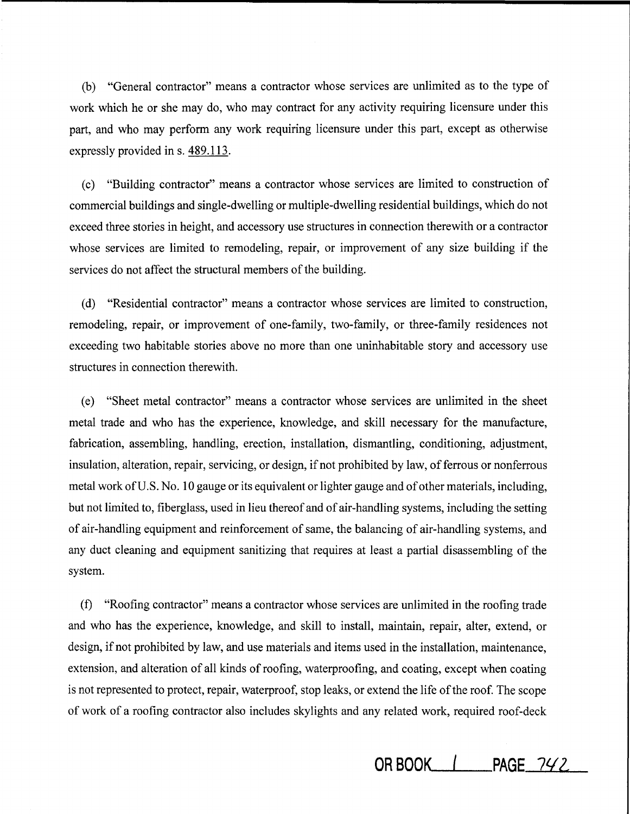(b) "General contractor" means a contractor whose services are unlimited as to the type of work which he or she may do, who may contract for any activity requiring licensure under this part, and who may perform any work requiring licensure under this part, except as otherwise expressly provided ins. 489.113.

( c) "Building contractor" means a contractor whose services are limited to construction of commercial buildings and single-dwelling or multiple-dwelling residential buildings, which do not exceed three stories in height, and accessory use structures in connection therewith or a contractor whose services are limited to remodeling, repair, or improvement of any size building if the services do not affect the structural members of the building.

( d) "Residential contractor" means a contractor whose services are limited to construction, remodeling, repair, or improvement of one-family, two-family, or three-family residences not exceeding two habitable stories above no more than one uninhabitable story and accessory use structures in connection therewith.

( e) "Sheet metal contractor" means a contractor whose services are unlimited in the sheet metal trade and who has the experience, knowledge, and skill necessary for the manufacture, fabrication, assembling, handling, erection, installation, dismantling, conditioning, adjustment, insulation, alteration, repair, servicing, or design, if not prohibited by law, of ferrous or nonferrous metal work of U.S. No. 10 gauge or its equivalent or lighter gauge and of other materials, including, but not limited to, fiberglass, used in lieu thereof and of air-handling systems, including the setting of air-handling equipment and reinforcement of same, the balancing of air-handling systems, and any duct cleaning and equipment sanitizing that requires at least a partial disassembling of the system.

(f) "Roofing contractor" means a contractor whose services are unlimited in the roofing trade and who has the experience, knowledge, and skill to install, maintain, repair, alter, extend, or design, if not prohibited by law, and use materials and items used in the installation, maintenance, extension, and alteration of all kinds of roofing, waterproofing, and coating, except when coating is not represented to protect, repair, waterproof, stop leaks, or extend the life of the roof. The scope of work of a roofing contractor also includes skylights and any related work, required roof-deck

**OR BOOK | PAGE**  $742$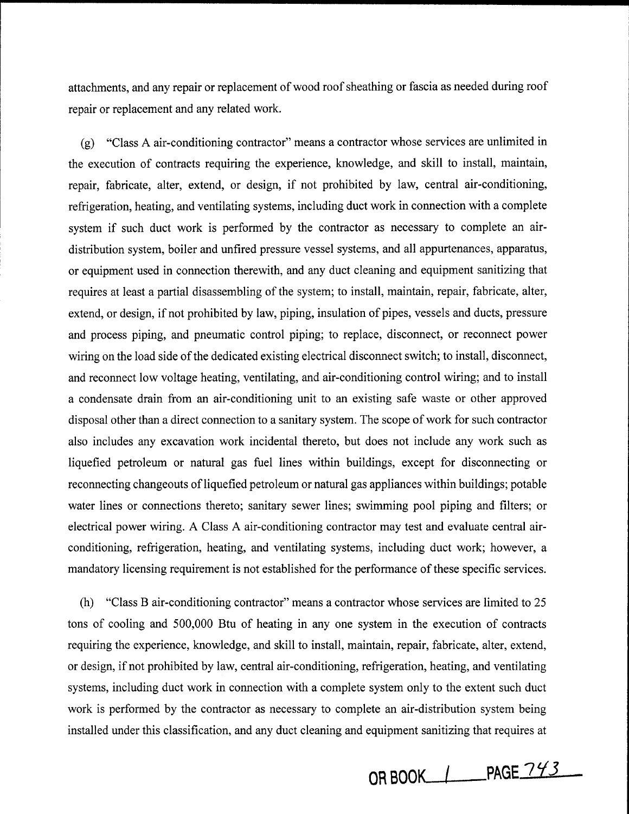attachments, and any repair or replacement of wood roof sheathing or fascia as needed during roof repair or replacement and any related work.

(g) "Class A air-conditioning contractor" means a contractor whose services are unlimited in the execution of contracts requiring the experience, knowledge, and skill to install, maintain, repair, fabricate, alter, extend, or design, if not prohibited by law, central air-conditioning, refrigeration, heating, and ventilating systems, including duct work in connection with a complete system if such duct work is performed by the contractor as necessary to complete an airdistribution system, boiler and unfired pressure vessel systems, and all appurtenances, apparatus, or equipment used in connection therewith, and any duct cleaning and equipment sanitizing that requires at least a partial disassembling of the system; to install, maintain, repair, fabricate, alter, extend, or design, if not prohibited by law, piping, insulation of pipes, vessels and ducts, pressure and process piping, and pneumatic control piping; to replace, disconnect, or reconnect power wiring on the load side of the dedicated existing electrical disconnect switch; to install, disconnect, and reconnect low voltage heating, ventilating, and air-conditioning control wiring; and to install a condensate drain from an air-conditioning unit to an existing safe waste or other approved disposal other than a direct connection to a sanitary system. The scope of work for such contractor also includes any excavation work incidental thereto, but does not include any work such as liquefied petroleum or natural gas fuel lines within buildings, except for disconnecting or reconnecting changeouts of liquefied petroleum or natural gas appliances within buildings; potable water lines or connections thereto; sanitary sewer lines; swimming pool piping and filters; or electrical power wiring. A Class A air-conditioning contractor may test and evaluate central airconditioning, refrigeration, heating, and ventilating systems, including duct work; however, a mandatory licensing requirement is not established for the performance of these specific services.

(h) "Class Bair-conditioning contractor" means a contractor whose services are limited to 25 tons of cooling and 500,000 Btu of heating in any one system in the execution of contracts requiring the experience, knowledge, and skill to install, maintain, repair, fabricate, alter, extend, or design, if not prohibited by law, central air-conditioning, refrigeration, heating, and ventilating systems, including duct work in connection with a complete system only to the extent such duct work is performed by the contractor as necessary to complete an air-distribution system being installed under this classification, and any duct cleaning and equipment sanitizing that requires at

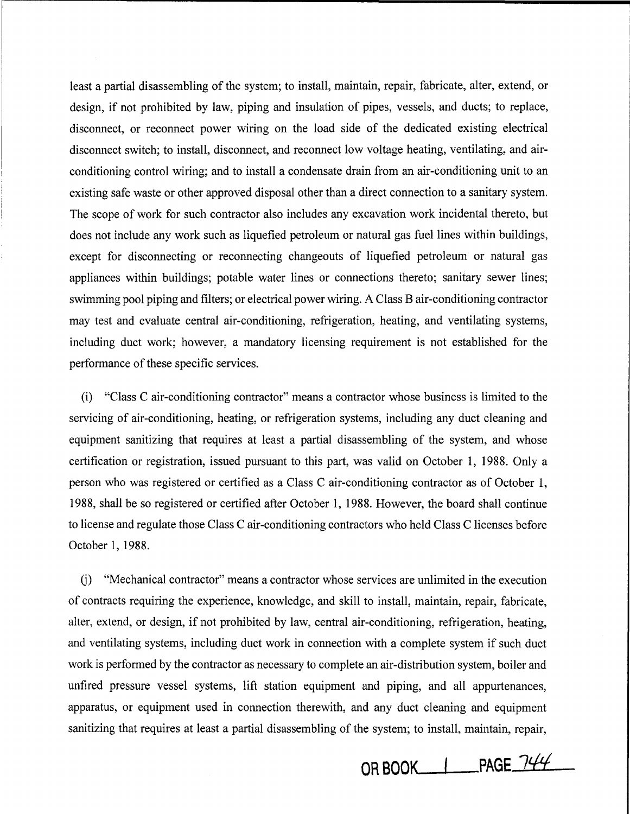least a partial disassembling of the system; to install, maintain, repair, fabricate, alter, extend, or design, if not prohibited by law, piping and insulation of pipes, vessels, and ducts; to replace, disconnect, or reconnect power wiring on the load side of the dedicated existing electrical disconnect switch; to install, disconnect, and reconnect low voltage heating, ventilating, and airconditioning control wiring; and to install a condensate drain from an air-conditioning unit to an existing safe waste or other approved disposal other than a direct connection to a sanitary system. The scope of work for such contractor also includes any excavation work incidental thereto, but does not include any work such as liquefied petroleum or natural gas fuel lines within buildings, except for disconnecting or reconnecting changeouts of liquefied petroleum or natural gas appliances within buildings; potable water lines or connections thereto; sanitary sewer lines; swimming pool piping and filters; or electrical power wiring. A Class B air-conditioning contractor may test and evaluate central air-conditioning, refrigeration, heating, and ventilating systems, including duct work; however, a mandatory licensing requirement is not established for the performance of these specific services.

(i) "Class C air-conditioning contractor" means a contractor whose business is limited to the servicing of air-conditioning, heating, or refrigeration systems, including any duct cleaning and equipment sanitizing that requires at least a partial disassembling of the system, and whose certification or registration, issued pursuant to this part, was valid on October 1, 1988. Only a person who was registered or certified as a Class C air-conditioning contractor as of October 1, 1988, shall be so registered or certified after October 1, 1988. However, the board shall continue to license and regulate those Class C air-conditioning contractors who held Class C licenses before October 1, 1988.

U) "Mechanical contractor" means a contractor whose services are unlimited in the execution of contracts requiring the experience, knowledge, and skill to install, maintain, repair, fabricate, alter, extend, or design, if not prohibited by law, central air-conditioning, refrigeration, heating, and ventilating systems, including duct work in connection with a complete system if such duct work is performed by the contractor as necessary to complete an air-distribution system, boiler and unfired pressure vessel systems, lift station equipment and piping, and all appurtenances, apparatus, or equipment used in connection therewith, and any duct cleaning and equipment sanitizing that requires at least a partial disassembling of the system; to install, maintain, repair,

**OR BOOK 1 PAGE 744**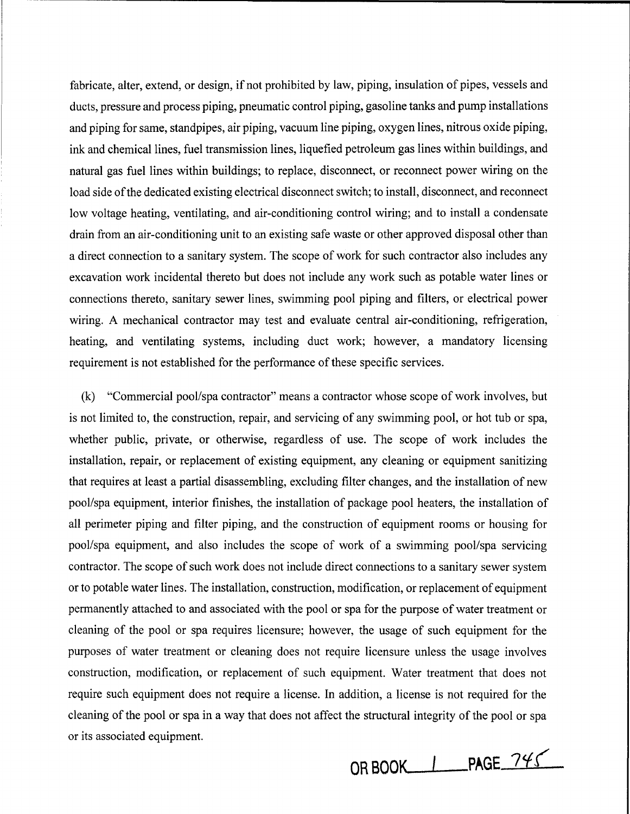fabricate, alter, extend, or design, if not prohibited by law, piping, insulation of pipes, vessels and ducts, pressure and process piping, pneumatic control piping, gasoline tanks and pump installations and piping for same, standpipes, air piping, vacuum line piping, oxygen lines, nitrous oxide piping, ink and chemical lines, fuel transmission lines, liquefied petroleum gas lines within buildings, and natural gas fuel lines within buildings; to replace, disconnect, or reconnect power wiring on the load side of the dedicated existing electrical disconnect switch; to install, disconnect, and reconnect low voltage heating, ventilating, and air-conditioning control wiring; and to install a condensate drain from an air-conditioning unit to an existing safe waste or other approved disposal other than a direct connection to a sanitary system. The scope of work for such contractor also includes any excavation work incidental thereto but does not include any work such as potable water lines or connections thereto, sanitary sewer lines, swimming pool piping and filters, or electrical power wiring. A mechanical contractor may test and evaluate central air-conditioning, refrigeration, heating, and ventilating systems, including duct work; however, a mandatory licensing requirement is not established for the performance of these specific services.

(k) "Commercial pool/spa contractor" means a contractor whose scope of work involves, but is not limited to, the construction, repair, and servicing of any swimming pool, or hot tub or spa, whether public, private, or otherwise, regardless of use. The scope of work includes the installation, repair, or replacement of existing equipment, any cleaning or equipment sanitizing that requires at least a partial disassembling, excluding filter changes, and the installation of new pool/spa equipment, interior finishes, the installation of package pool heaters, the installation of all perimeter piping and filter piping, and the construction of equipment rooms or housing for pool/spa equipment, and also includes the scope of work of a swimming pool/spa servicing contractor. The scope of such work does not include direct connections to a sanitary sewer system or to potable water lines. The installation, construction, modification, or replacement of equipment permanently attached to and associated with the pool or spa for the purpose of water treatment or cleaning of the pool or spa requires licensure; however, the usage of such equipment for the purposes of water treatment or cleaning does not require licensure unless the usage involves construction, modification, or replacement of such equipment. Water treatment that does not require such equipment does not require a license. In addition, a license is not required for the cleaning of the pool or spa in a way that does not affect the structural integrity of the pool or spa or its associated equipment.

OR BOOK\_\_\_\_\_\_\_\_\_PAGE\_745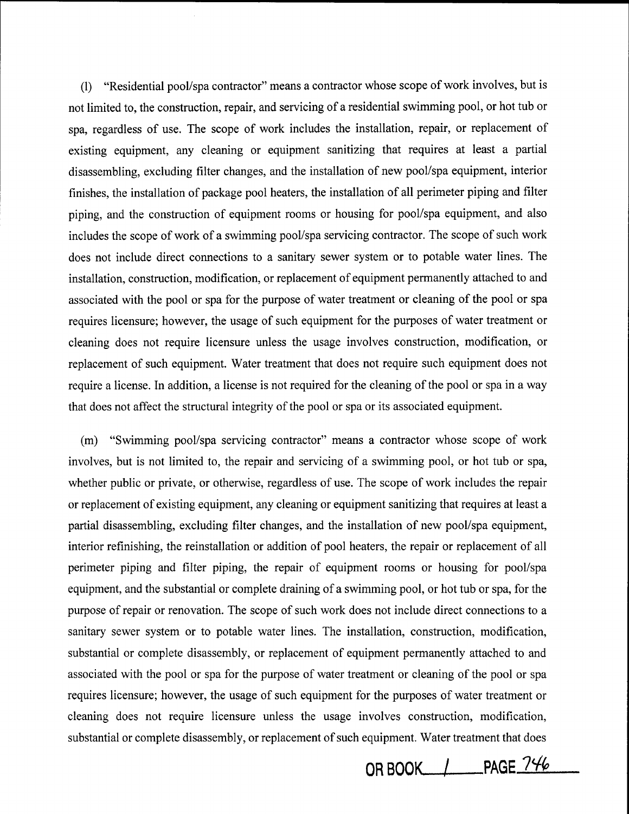(1) "Residential pool/spa contractor" means a contractor whose scope of work involves, but is not limited to, the construction, repair, and servicing of a residential swimming pool, or hot tub or spa, regardless of use. The scope of work includes the installation, repair, or replacement of existing equipment, any cleaning or equipment sanitizing that requires at least a partial disassembling, excluding filter changes, and the installation of new pool/spa equipment, interior finishes, the installation of package pool heaters, the installation of all perimeter piping and filter piping, and the construction of equipment rooms or housing for pool/spa equipment, and also includes the scope of work of a swimming pool/spa servicing contractor. The scope of such work does not include direct connections to a sanitary sewer system or to potable water lines. The installation, construction, modification, or replacement of equipment permanently attached to and associated with the pool or spa for the purpose of water treatment or cleaning of the pool or spa requires licensure; however, the usage of such equipment for the purposes of water treatment or cleaning does not require licensure unless the usage involves construction, modification, or replacement of such equipment. Water treatment that does not require such equipment does not require a license. In addition, a license is not required for the cleaning of the pool or spa in a way that does not affect the structural integrity of the pool or spa or its associated equipment.

(m) "Swimming pool/spa servicing contractor" means a contractor whose scope of work involves, but is not limited to, the repair and servicing of a swimming pool, or hot tub or spa, whether public or private, or otherwise, regardless of use. The scope of work includes the repair or replacement of existing equipment, any cleaning or equipment sanitizing that requires at least a partial disassembling, excluding filter changes, and the installation of new pool/spa equipment, interior refinishing, the reinstallation or addition of pool heaters, the repair or replacement of all perimeter piping and filter piping, the repair of equipment rooms or housing for pool/spa equipment, and the substantial or complete draining of a swimming pool, or hot tub or spa, for the purpose of repair or renovation. The scope of such work does not include direct connections to a sanitary sewer system or to potable water lines. The installation, construction, modification, substantial or complete disassembly, or replacement of equipment permanently attached to and associated with the pool or spa for the purpose of water treatment or cleaning of the pool or spa requires licensure; however, the usage of such equipment for the purposes of water treatment or cleaning does not require licensure unless the usage involves construction, modification, substantial or complete disassembly, or replacement of such equipment. Water treatment that does

**OR BOOK\_\_.\_/ \_PAGE** *7'-ftp*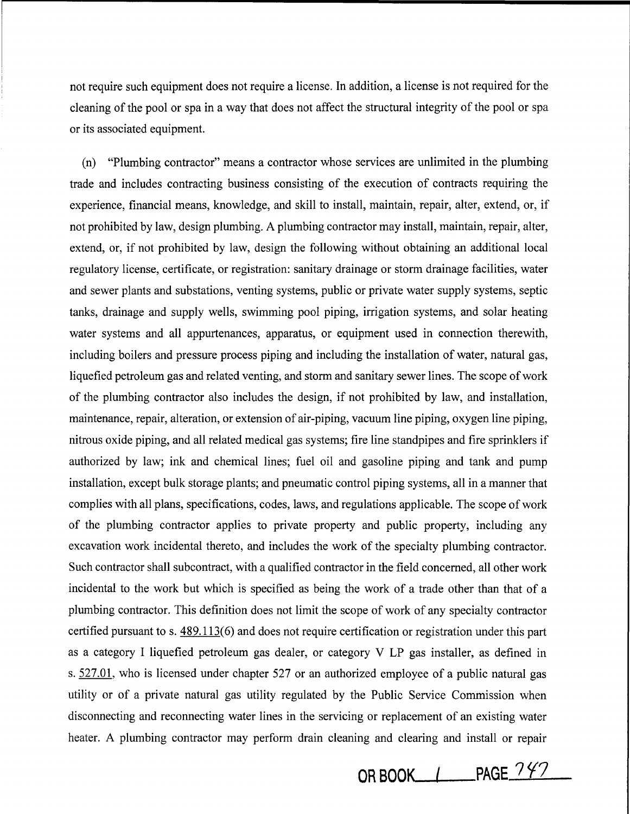not require such equipment does not require a license. In addition, a license is not required for the cleaning of the pool or spa in a way that does not affect the structural integrity of the pool or spa or its associated equipment.

(n) "Plumbing contractor" means a contractor whose services are unlimited in the plumbing trade and includes contracting business consisting of the execution of contracts requiring the experience, financial means, knowledge, and skill to install, maintain, repair, alter, extend, or, if not prohibited by law, design plumbing. A plumbing contractor may install, maintain, repair, alter, extend, or, if not prohibited by law, design the following without obtaining an additional local regulatory license, certificate, or registration: sanitary drainage or storm drainage facilities, water and sewer plants and substations, venting systems, public or private water supply systems, septic tanks, drainage and supply wells, swimming pool piping, irrigation systems, and solar heating water systems and all appurtenances, apparatus, or equipment used in connection therewith, including boilers and pressure process piping and including the installation of water, natural gas, liquefied petroleum gas and related venting, and storm and sanitary sewer lines. The scope of work of the plumbing contractor also includes the design, if not prohibited by law, and installation, maintenance, repair, alteration, or extension of air-piping, vacuum line piping, oxygen line piping, nitrous oxide piping, and all related medical gas systems; fire line standpipes and fire sprinklers if authorized by law; ink and chemical lines; fuel oil and gasoline piping and tank and pump installation, except bulk storage plants; and pneumatic control piping systems, all in a manner that complies with all plans, specifications, codes, laws, and regulations applicable. The scope of work of the plumbing contractor applies to private property and public property, including any excavation work incidental thereto, and includes the work of the specialty plumbing contractor. Such contractor shall subcontract, with a qualified contractor in the field concerned, all other work incidental to the work but which is specified as being the work of a trade other than that of a plumbing contractor. This definition does not limit the scope of work of any specialty contractor certified pursuant to s. 489.113(6) and does not require certification or registration under this part as a category I liquefied petroleum gas dealer, or category V LP gas installer, as defined in s. 527.01, who is licensed under chapter 527 or an authorized employee of a public natural gas utility or of a private natural gas utility regulated by the Public Service Commission when disconnecting and reconnecting water lines in the servicing or replacement of an existing water heater. A plumbing contractor may perform drain cleaning and clearing and install or repair

**OR BOOK\_/\_\_PAGE 242**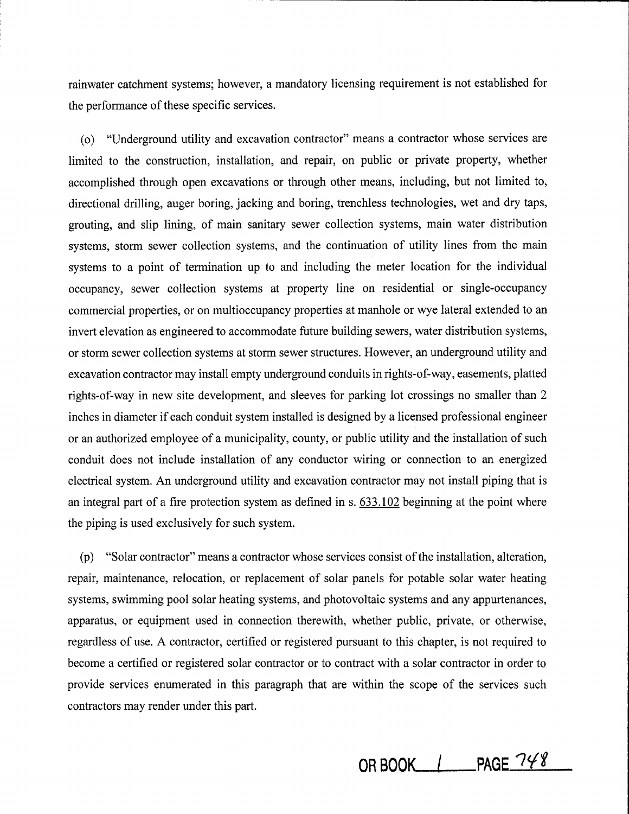rainwater catchment systems; however, a mandatory licensing requirement is not established for the performance of these specific services.

( o) "Underground utility and excavation contractor" means a contractor whose services are limited to the construction, installation, and repair, on public or private property, whether accomplished through open excavations or through other means, including, but not limited to, directional drilling, auger boring, jacking and boring, trenchless technologies, wet and dry taps, grouting, and slip lining, of main sanitary sewer collection systems, main water distribution systems, storm sewer collection systems, and the continuation of utility lines from the main systems to a point of termination up to and including the meter location for the individual occupancy, sewer collection systems at property line on residential or single-occupancy commercial properties, or on multioccupancy properties at manhole or wye lateral extended to an invert elevation as engineered to accommodate future building sewers, water distribution systems, or storm sewer collection systems at storm sewer structures. However, an underground utility and excavation contractor may install empty underground conduits in rights-of-way, easements, platted rights-of-way in new site development, and sleeves for parking lot crossings no smaller than 2 inches in diameter if each conduit system installed is designed by a licensed professional engineer or an authorized employee of a municipality, county, or public utility and the installation of such conduit does not include installation of any conductor wiring or connection to an energized electrical system. An underground utility and excavation contractor may not install piping that is an integral part of a fire protection system as defined in s. 633.102 beginning at the point where the piping is used exclusively for such system.

(p) "Solar contractor" means a contractor whose services consist of the installation, alteration, repair, maintenance, relocation, or replacement of solar panels for potable solar water heating systems, swimming pool solar heating systems, and photovoltaic systems and any appurtenances, apparatus, or equipment used in connection therewith, whether public, private, or otherwise, regardless of use. A contractor, certified or registered pursuant to this chapter, is not required to become a certified or registered solar contractor or to contract with a solar contractor in order to provide services enumerated in this paragraph that are within the scope of the services such contractors may render under this part.

**OR BOOK | PAGE 748**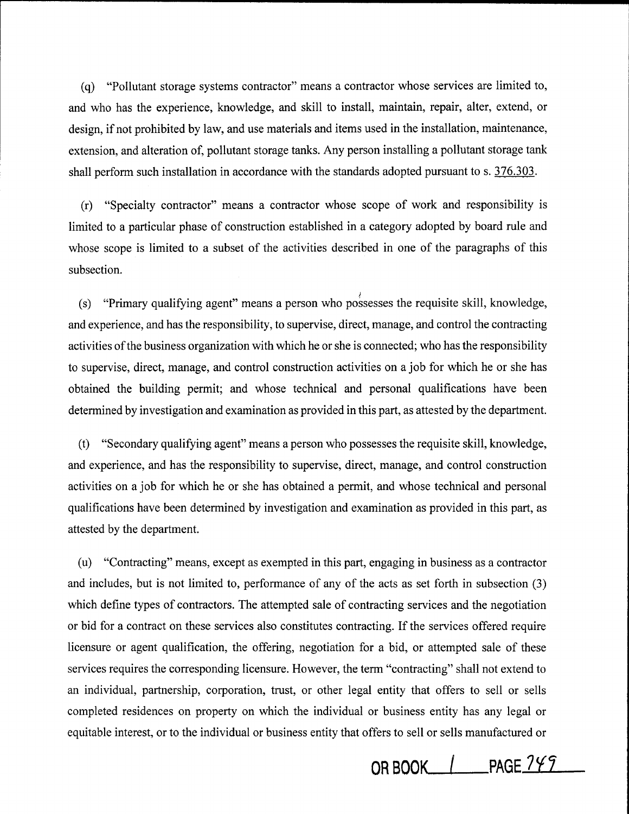( q) "Pollutant storage systems contractor" means a contractor whose services are limited to, and who has the experience, knowledge, and skill to install, maintain, repair, alter, extend, or design, if not prohibited by law, and use materials and items used in the installation, maintenance, extension, and alteration of, pollutant storage tanks. Any person installing a pollutant storage tank shall perform such installation in accordance with the standards adopted pursuant to s. 376.303.

(r) "Specialty contractor" means a contractor whose scope of work and responsibility is limited to a particular phase of construction established in a category adopted by board rule and whose scope is limited to a subset of the activities described in one of the paragraphs of this subsection.

(s) "Primary qualifying agent" means a person who possesses the requisite skill, knowledge, and experience, and has the responsibility, to supervise, direct, manage, and control the contracting activities of the business organization with which he or she is connected; who has the responsibility to supervise, direct, manage, and control construction activities on a job for which he or she has obtained the building permit; and whose technical and personal qualifications have been determined by investigation and examination as provided in this part, as attested by the department.

(t) "Secondary qualifying agent" means a person who possesses the requisite skill, knowledge, and experience, and has the responsibility to supervise, direct, manage, and control construction activities on a job for which he or she has obtained a permit, and whose technical and personal qualifications have been determined by investigation and examination as provided in this part, as attested by the department.

(u) "Contracting" means, except as exempted in this part, engaging in business as a contractor and includes, but is not limited to, performance of any of the acts as set forth in subsection (3) which define types of contractors. The attempted sale of contracting services and the negotiation or bid for a contract on these services also constitutes contracting. If the services offered require licensure or agent qualification, the offering, negotiation for a bid, or attempted sale of these services requires the corresponding licensure. However, the term "contracting" shall not extend to an individual, partnership, corporation, trust, or other legal entity that offers to sell or sells completed residences on property on which the individual or business entity has any legal or equitable interest, or to the individual or business entity that offers to sell or sells manufactured or

**ORBOQK \_\_\_ [\_PAGE7Yr**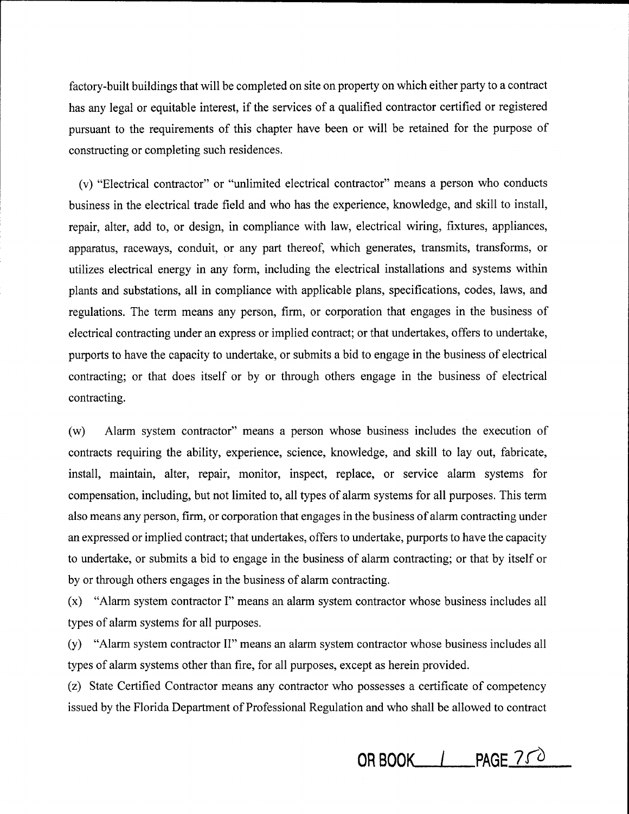factory-built buildings that will be completed on site on property on which either party to a contract has any legal or equitable interest, if the services of a qualified contractor certified or registered pursuant to the requirements of this chapter have been or will be retained for the purpose of constructing or completing such residences.

(v) "Electrical contractor" or "unlimited electrical contractor" means a person who conducts business in the electrical trade field and who has the experience, knowledge, and skill to install, repair, alter, add to, or design, in compliance with law, electrical wiring, fixtures, appliances, apparatus, raceways, conduit, or any part thereof, which generates, transmits, transforms, or utilizes electrical energy in any form, including the electrical installations and systems within plants and substations, all in compliance with applicable plans, specifications, codes, laws, and regulations. The term means any person, firm, or corporation that engages in the business of electrical contracting under an express or implied contract; or that undertakes, offers to undertake, purports to have the capacity to undertake, or submits a bid to engage in the business of electrical contracting; or that does itself or by or through others engage in the business of electrical contracting.

(w) Alarm system contractor" means a person whose business includes the execution of contracts requiring the ability, experience, science, knowledge, and skill to lay out, fabricate, install, maintain, alter, repair, monitor, inspect, replace, or service alarm systems for compensation, including, but not limited to, all types of alarm systems for all purposes. This term also means any person, firm, or corporation that engages in the business of alarm contracting under an expressed or implied contract; that undertakes, offers to undertake, purports to have the capacity to undertake, or submits a bid to engage in the business of alarm contracting; or that by itself or by or through others engages in the business of alarm contracting.

(x) "Alarm system contractor I" means an alarm system contractor whose business includes all types of alarm systems for all purposes.

(y) "Alarm system contractor II" means an alarm system contractor whose business includes all types of alarm systems other than fire, for all purposes, except as herein provided.

(z) State Certified Contractor means any contractor who possesses a certificate of competency issued by the Florida Department of Professional Regulation and who shall be allowed to contract

**OR BOOK\_\_\_.\_I\_PAGE 7** *ro*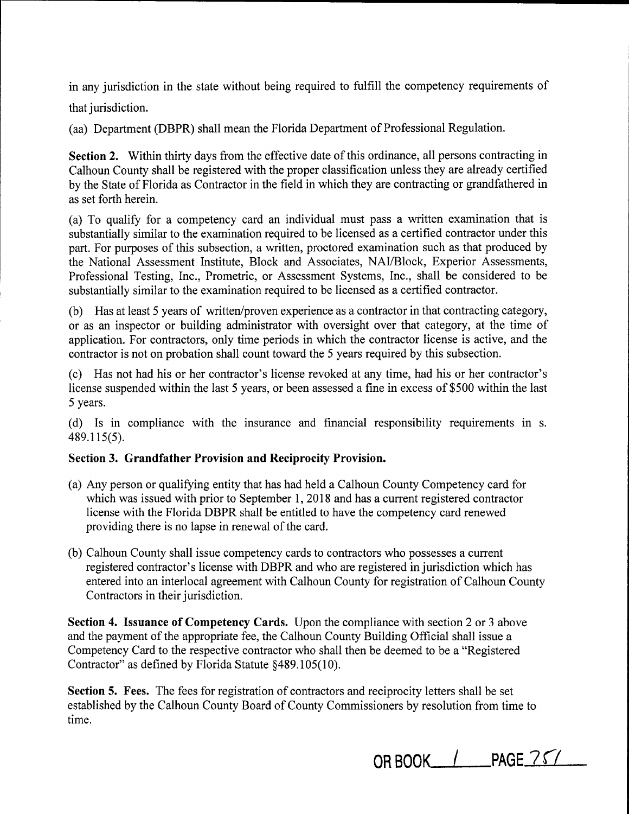in any jurisdiction in the state without being required to fulfill the competency requirements of

that jurisdiction.

(aa) Department (DBPR) shall mean the Florida Department of Professional Regulation.

**Section 2.** Within thirty days from the effective date of this ordinance, all persons contracting in Calhoun County shall be registered with the proper classification unless they are already certified by the State of Florida as Contractor in the field in which they are contracting or grandfathered in as set forth herein.

(a) To qualify for a competency card an individual must pass a written examination that is substantially similar to the examination required to be licensed as a certified contractor under this part. For purposes of this subsection, a written, proctored examination such as that produced by the National Assessment Institute, Block and Associates, NAI/Block, Experior Assessments, Professional Testing, Inc., Prometric, or Assessment Systems, Inc., shall be considered to be substantially similar to the examination required to be licensed as a certified contractor.

(b) Has at least 5 years of written/proven experience as a contractor in that contracting category, or as an inspector or building administrator with oversight over that category, at the time of application. For contractors, only time periods in which the contractor license is active, and the contractor is not on probation shall count toward the 5 years required by this subsection.

( c) Has not had his or her contractor's license revoked at any time, had his or her contractor's license suspended within the last 5 years, or been assessed a fine in excess of \$500 within the last 5 years.

( d) Is in compliance with the insurance and financial responsibility requirements in s. 489.115(5).

# **Section 3. Grandfather Provision and Reciprocity Provision.**

- (a) Any person or qualifying entity that has had held a Calhoun County Competency card for which was issued with prior to September 1, 2018 and has a current registered contractor license with the Florida DBPR shall be entitled to have the competency card renewed providing there is no lapse in renewal of the card.
- (b) Calhoun County shall issue competency cards to contractors who possesses a current registered contractor's license with DBPR and who are registered in jurisdiction which has entered into an interlocal agreement with Calhoun County for registration of Calhoun County Contractors in their jurisdiction.

**Section 4. Issuance of Competency Cards.** Upon the compliance with section 2 or 3 above and the payment of the appropriate fee, the Calhoun County Building Official shall issue a Competency Card to the respective contractor who shall then be deemed to be a "Registered Contractor" as defined by Florida Statute §489.105(10).

**Section 5. Fees.** The fees for registration of contractors and reciprocity letters shall be set established by the Calhoun County Board of County Commissioners by resolution from time to time.

**OR BOOK\_\_.\_/ \_PAGE** 7 ('/